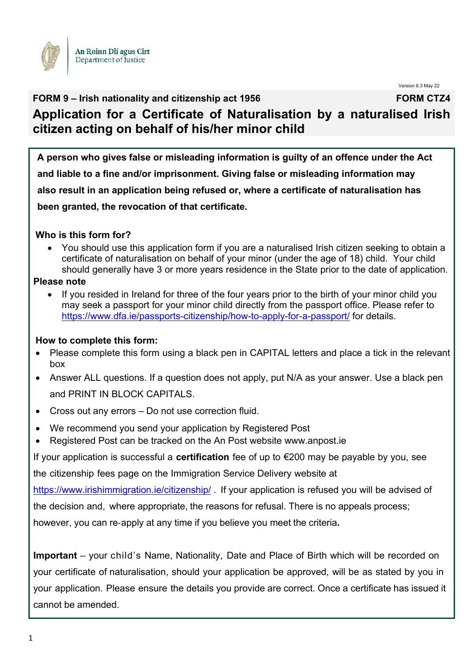

Version 6.3 May 22

# **FORM 9 – Irish nationality and citizenship act 1956 FORM CTZ4 Application for a Certificate of Naturalisation by a naturalised Irish citizen acting on behalf of his/her minor child**

**A person who gives false or misleading information is guilty of an offence under the Act and liable to a fine and/or imprisonment. Giving false or misleading information may also result in an application being refused or, where a certificate of naturalisation has been granted, the revocation of that certificate.**

## **Who is this form for?**

• You should use this application form if you are a naturalised Irish citizen seeking to obtain a certificate of naturalisation on behalf of your minor (under the age of 18) child. Your child should generally have 3 or more years residence in the State prior to the date of application.

#### **Please note**

• If you resided in Ireland for three of the four years prior to the birth of your minor child you may seek a passport for your minor child directly from the passport office. Please refer to <https://www.dfa.ie/passports-citizenship/how-to-apply-for-a-passport/> for details.

## **How to complete this form:**

- Please complete this form using a black pen in CAPITAL letters and place a tick in the relevant box
- Answer ALL questions. If a question does not apply, put N/A as your answer. Use a black pen and PRINT IN BLOCK CAPITALS.
- Cross out any errors Do not use correction fluid.
- We recommend you send your application by Registered Post
- Registered Post can be tracked on the An Post website www.anpost.ie

If your application is successful a **certification** fee of up to €200 may be payable by you, see

the citizenship fees page on the Immigration Service Delivery website at

<https://www.irishimmigration.ie/citizenship/> If your application is refused you will be advised of

the decision and, where appropriate, the reasons for refusal. There is no appeals process;

however, you can re‐apply at any time if you believe you meet the criteria**.** 

**Important** – your child's Name, Nationality, Date and Place of Birth which will be recorded on your certificate of naturalisation, should your application be approved, will be as stated by you in your application. Please ensure the details you provide are correct. Once a certificate has issued it cannot be amended.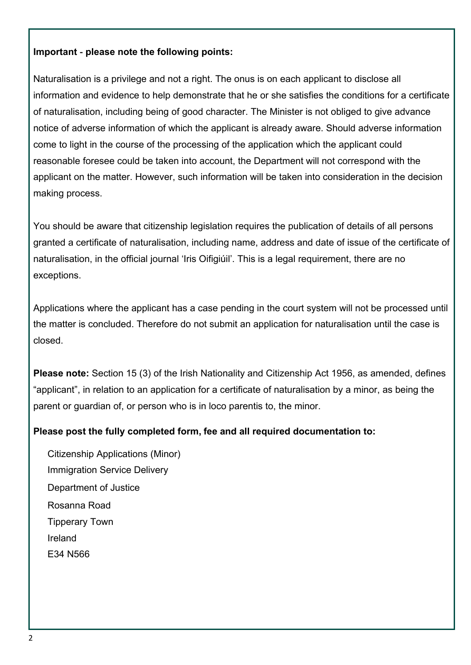# **Important** ‐ **please note the following points:**

Naturalisation is a privilege and not a right. The onus is on each applicant to disclose all information and evidence to help demonstrate that he or she satisfies the conditions for a certificate of naturalisation, including being of good character. The Minister is not obliged to give advance notice of adverse information of which the applicant is already aware. Should adverse information come to light in the course of the processing of the application which the applicant could reasonable foresee could be taken into account, the Department will not correspond with the applicant on the matter. However, such information will be taken into consideration in the decision making process.

You should be aware that citizenship legislation requires the publication of details of all persons granted a certificate of naturalisation, including name, address and date of issue of the certificate of naturalisation, in the official journal 'Iris Oifigiúil'. This is a legal requirement, there are no exceptions.

Applications where the applicant has a case pending in the court system will not be processed until the matter is concluded. Therefore do not submit an application for naturalisation until the case is closed.

**Please note:** Section 15 (3) of the Irish Nationality and Citizenship Act 1956, as amended, defines "applicant", in relation to an application for a certificate of naturalisation by a minor, as being the parent or guardian of, or person who is in loco parentis to, the minor.

# **Please post the fully completed form, fee and all required documentation to:**

Citizenship Applications (Minor) Immigration Service Delivery Department of Justice Rosanna Road Tipperary Town Ireland E34 N566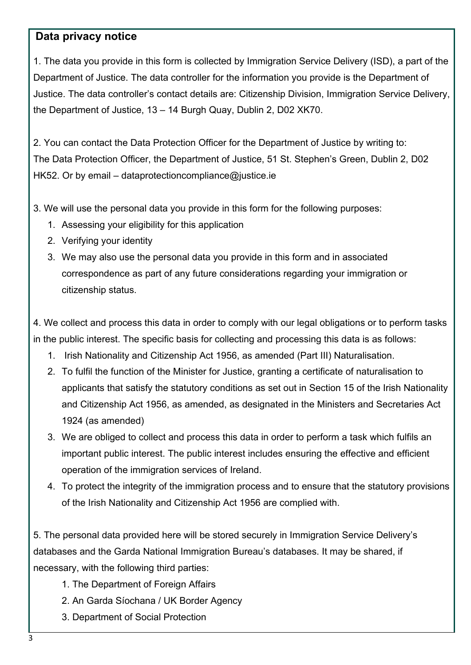# **Data privacy notice**

1. The data you provide in this form is collected by Immigration Service Delivery (ISD), a part of the Department of Justice. The data controller for the information you provide is the Department of Justice. The data controller's contact details are: Citizenship Division, Immigration Service Delivery, the Department of Justice, 13 – 14 Burgh Quay, Dublin 2, D02 XK70.

2. You can contact the Data Protection Officer for the Department of Justice by writing to: The Data Protection Officer, the Department of Justice, 51 St. Stephen's Green, Dublin 2, D02 HK52. Or by email – [dataprotectioncompliance@justice.ie](mailto:dataprotectioncompliance@justice.ie)

3. We will use the personal data you provide in this form for the following purposes:

- 1. Assessing your eligibility for this application
- 2. Verifying your identity
- 3. We may also use the personal data you provide in this form and in associated correspondence as part of any future considerations regarding your immigration or citizenship status.

4. We collect and process this data in order to comply with our legal obligations or to perform tasks in the public interest. The specific basis for collecting and processing this data is as follows:

- 1. Irish Nationality and Citizenship Act 1956, as amended (Part III) Naturalisation.
- 2. To fulfil the function of the Minister for Justice, granting a certificate of naturalisation to applicants that satisfy the statutory conditions as set out in Section 15 of the Irish Nationality and Citizenship Act 1956, as amended, as designated in the Ministers and Secretaries Act 1924 (as amended)
- 3. We are obliged to collect and process this data in order to perform a task which fulfils an important public interest. The public interest includes ensuring the effective and efficient operation of the immigration services of Ireland.
- 4. To protect the integrity of the immigration process and to ensure that the statutory provisions of the Irish Nationality and Citizenship Act 1956 are complied with.

5. The personal data provided here will be stored securely in Immigration Service Delivery's databases and the Garda National Immigration Bureau's databases. It may be shared, if necessary, with the following third parties:

- 1. The Department of Foreign Affairs
- 2. An Garda Síochana / UK Border Agency
- 3. Department of Social Protection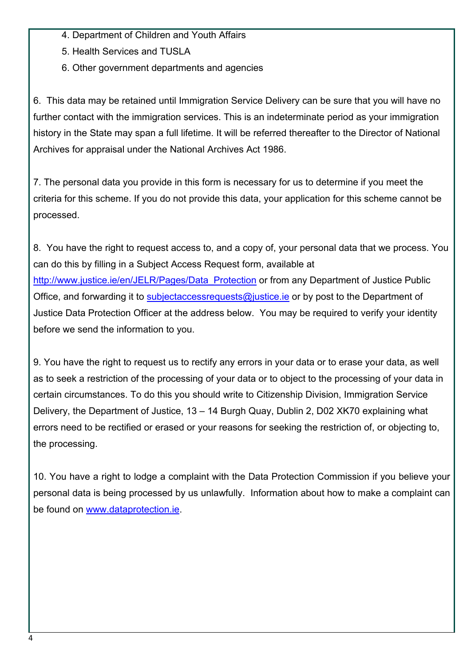- 4. Department of Children and Youth Affairs
- 5. Health Services and TUSLA
- 6. Other government departments and agencies

6. This data may be retained until Immigration Service Delivery can be sure that you will have no further contact with the immigration services. This is an indeterminate period as your immigration history in the State may span a full lifetime. It will be referred thereafter to the Director of National Archives for appraisal under the National Archives Act 1986.

7. The personal data you provide in this form is necessary for us to determine if you meet the criteria for this scheme. If you do not provide this data, your application for this scheme cannot be processed.

8. You have the right to request access to, and a copy of, your personal data that we process. You can do this by filling in a Subject Access Request form, available at [http://www.justice.ie/en/JELR/Pages/Data\\_Protection](http://www.justice.ie/en/JELR/Pages/Data_Protection) or from any Department of Justice Public Office, and forwarding it to [subjectaccessrequests@justice.ie](mailto:subjectaccessrequests@justice.ie) or by post to the Department of Justice Data Protection Officer at the address below. You may be required to verify your identity before we send the information to you.

9. You have the right to request us to rectify any errors in your data or to erase your data, as well as to seek a restriction of the processing of your data or to object to the processing of your data in certain circumstances. To do this you should write to Citizenship Division, Immigration Service Delivery, the Department of Justice, 13 – 14 Burgh Quay, Dublin 2, D02 XK70 explaining what errors need to be rectified or erased or your reasons for seeking the restriction of, or objecting to, the processing.

10. You have a right to lodge a complaint with the Data Protection Commission if you believe your personal data is being processed by us unlawfully. Information about how to make a complaint can be found on [www.dataprotection.ie.](http://www.dataprotection.ie/)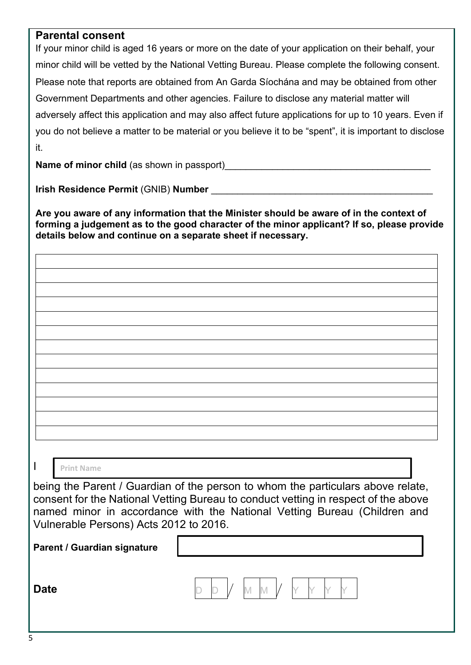# **Parental consent**

If your minor child is aged 16 years or more on the date of your application on their behalf, your minor child will be vetted by the National Vetting Bureau. Please complete the following consent. Please note that reports are obtained from An Garda Síochána and may be obtained from other Government Departments and other agencies. Failure to disclose any material matter will adversely affect this application and may also affect future applications for up to 10 years. Even if you do not believe a matter to be material or you believe it to be "spent", it is important to disclose it.

**Name of minor child** (as shown in passport)

**Irish Residence Permit (GNIB) Number** 

**Are you aware of any information that the Minister should be aware of in the context of forming a judgement as to the good character of the minor applicant? If so, please provide details below and continue on a separate sheet if necessary.** 

**Print Name**

being the Parent / Guardian of the person to whom the particulars above relate, consent for the National Vetting Bureau to conduct vetting in respect of the above named minor in accordance with the National Vetting Bureau (Children and Vulnerable Persons) Acts 2012 to 2016.

**Parent / Guardian signature**

**Date D** D D  $\vee$  M M  $\vee$  M  $\vee$  M  $\vee$  M

I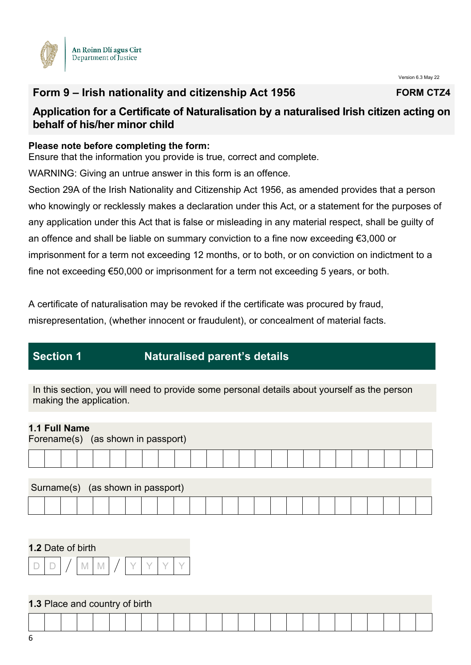

Version 6.3 May 22

# **Form 9 – Irish nationality and citizenship Act 1956 FORM CTZ4**

# **Application for a Certificate of Naturalisation by a naturalised Irish citizen acting on behalf of his/her minor child**

#### **Please note before completing the form:**

Ensure that the information you provide is true, correct and complete.

WARNING: Giving an untrue answer in this form is an offence.

Section 29A of the Irish Nationality and Citizenship Act 1956, as amended provides that a person who knowingly or recklessly makes a declaration under this Act, or a statement for the purposes of any application under this Act that is false or misleading in any material respect, shall be guilty of an offence and shall be liable on summary conviction to a fine now exceeding €3,000 or imprisonment for a term not exceeding 12 months, or to both, or on conviction on indictment to a fine not exceeding €50,000 or imprisonment for a term not exceeding 5 years, or both.

A certificate of naturalisation may be revoked if the certificate was procured by fraud, misrepresentation, (whether innocent or fraudulent), or concealment of material facts.

# **Section 1 Naturalised parent's details**

In this section, you will need to provide some personal details about yourself as the person making the application.

## **1.1 Full Name**

|  |  | Forename(s) (as shown in passport) |  |  |  |  |  |  |  |  |  |  |
|--|--|------------------------------------|--|--|--|--|--|--|--|--|--|--|
|  |  |                                    |  |  |  |  |  |  |  |  |  |  |
|  |  | Surname(s) (as shown in passport)  |  |  |  |  |  |  |  |  |  |  |
|  |  |                                    |  |  |  |  |  |  |  |  |  |  |

## **1.2** Date of birth



#### **1.3** Place and country of birth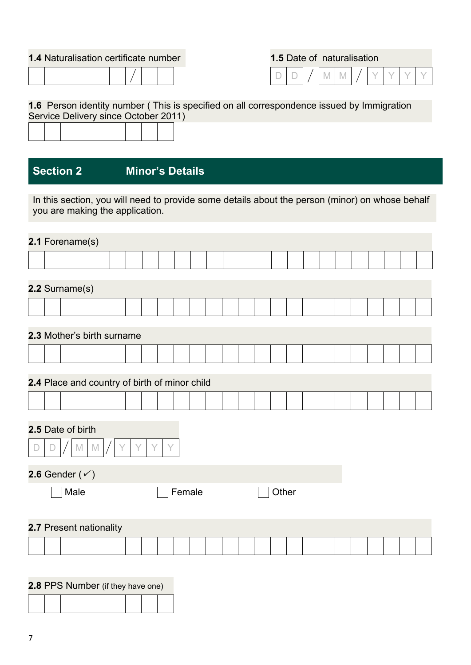|--|--|--|--|

| <b>1.5</b> Date of naturalisation |  |  |                      |  |  |
|-----------------------------------|--|--|----------------------|--|--|
|                                   |  |  | $/$ MM/ <sup>+</sup> |  |  |

#### **1.6** Person identity number ( This is specified on all correspondence issued by Immigration Service Delivery since October 2011)

# **Section 2 Minor's Details**

In this section, you will need to provide some details about the person (minor) on whose behalf you are making the application.

| 2.1 Forename(s)                               |      |   |   |  |   |   |   |        |  |  |  |       |  |  |  |  |
|-----------------------------------------------|------|---|---|--|---|---|---|--------|--|--|--|-------|--|--|--|--|
|                                               |      |   |   |  |   |   |   |        |  |  |  |       |  |  |  |  |
|                                               |      |   |   |  |   |   |   |        |  |  |  |       |  |  |  |  |
| 2.2 Surname(s)                                |      |   |   |  |   |   |   |        |  |  |  |       |  |  |  |  |
|                                               |      |   |   |  |   |   |   |        |  |  |  |       |  |  |  |  |
| 2.3 Mother's birth surname                    |      |   |   |  |   |   |   |        |  |  |  |       |  |  |  |  |
|                                               |      |   |   |  |   |   |   |        |  |  |  |       |  |  |  |  |
|                                               |      |   |   |  |   |   |   |        |  |  |  |       |  |  |  |  |
| 2.4 Place and country of birth of minor child |      |   |   |  |   |   |   |        |  |  |  |       |  |  |  |  |
|                                               |      |   |   |  |   |   |   |        |  |  |  |       |  |  |  |  |
| 2.5 Date of birth                             |      | M | M |  | Υ | Y | Y |        |  |  |  |       |  |  |  |  |
| 2.6 Gender $(\checkmark)$                     |      |   |   |  |   |   |   |        |  |  |  |       |  |  |  |  |
|                                               | Male |   |   |  |   |   |   | Female |  |  |  | Other |  |  |  |  |
| 2.7 Present nationality                       |      |   |   |  |   |   |   |        |  |  |  |       |  |  |  |  |
|                                               |      |   |   |  |   |   |   |        |  |  |  |       |  |  |  |  |
|                                               |      |   |   |  |   |   |   |        |  |  |  |       |  |  |  |  |
| 2.8 PPS Number (if they have one)             |      |   |   |  |   |   |   |        |  |  |  |       |  |  |  |  |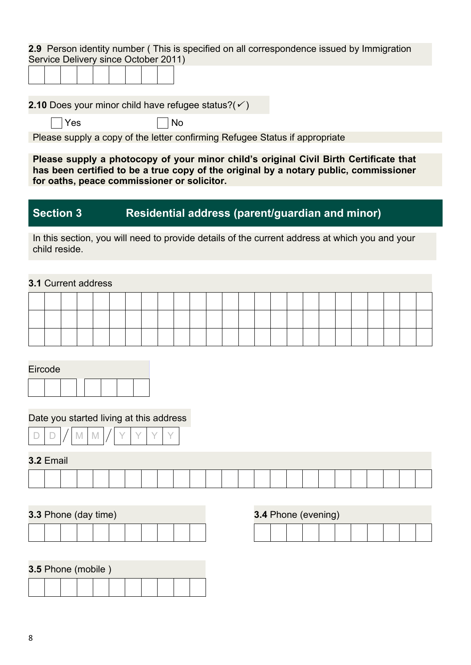**2.9** Person identity number ( This is specified on all correspondence issued by Immigration Service Delivery since October 2011)

**2.10** Does your minor child have refugee status? $(\check{\phantom{a}})$ 

 $\Box$  Yes  $\Box$  No

Please supply a copy of the letter confirming Refugee Status if appropriate

**Please supply a photocopy of your minor child's original Civil Birth Certificate that has been certified to be a true copy of the original by a notary public, commissioner for oaths, peace commissioner or solicitor.**

# **Section 3 Residential address (parent/guardian and minor)**

In this section, you will need to provide details of the current address at which you and your child reside.

# **3.1** Current address

| Eircode |  |  |  |
|---------|--|--|--|
|         |  |  |  |

# Date you started living at this address



# **3.2** Email



**3.3** Phone (day time)

| <b>3.4 Phone (evening)</b> |  |  |  |  |  |
|----------------------------|--|--|--|--|--|
|                            |  |  |  |  |  |

|  | <b>3.5 Phone (mobile)</b> |  |  |
|--|---------------------------|--|--|
|  |                           |  |  |

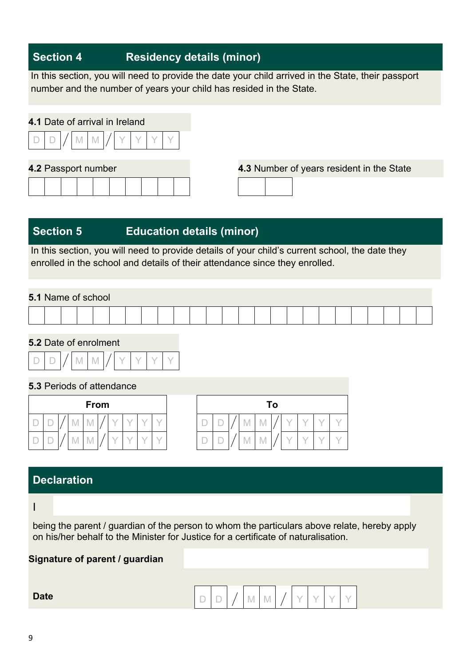# **Section 4 Residency details (minor)**

In this section, you will need to provide the date your child arrived in the State, their passport number and the number of years your child has resided in the State.

# **4.1** Date of arrival in Ireland D | D | / | M | M | / | Y | Y | Y | Y **4.2** Passport number **4.3** Number of years resident in the State

# **Section 5 Education details (minor)**

In this section, you will need to provide details of your child's current school, the date they enrolled in the school and details of their attendance since they enrolled.

#### **5.1** Name of school

#### **5.2** Date of enrolment



## **5.3** Periods of attendance

| <b>From</b> |  |  |                         |               |  |  |  |  |                                    |  |            | To           |  |  |  |
|-------------|--|--|-------------------------|---------------|--|--|--|--|------------------------------------|--|------------|--------------|--|--|--|
|             |  |  | <b>IVI</b>              | I V I         |  |  |  |  | $\sim$<br>$\sim$                   |  | <b>IVI</b> | I V I        |  |  |  |
|             |  |  | $\mathbf{1} \mathbf{V}$ | $\mathsf{IV}$ |  |  |  |  | $\overline{\phantom{a}}$<br>$\sim$ |  | <b>IVI</b> | $\mathbf{v}$ |  |  |  |

# **Declaration**

#### I

being the parent / guardian of the person to whom the particulars above relate, hereby apply on his/her behalf to the Minister for Justice for a certificate of naturalisation.

| Signature of parent / guardian |   |  |             |     |  |  |  |
|--------------------------------|---|--|-------------|-----|--|--|--|
| <b>Date</b>                    | - |  | $\mathbb N$ | IVI |  |  |  |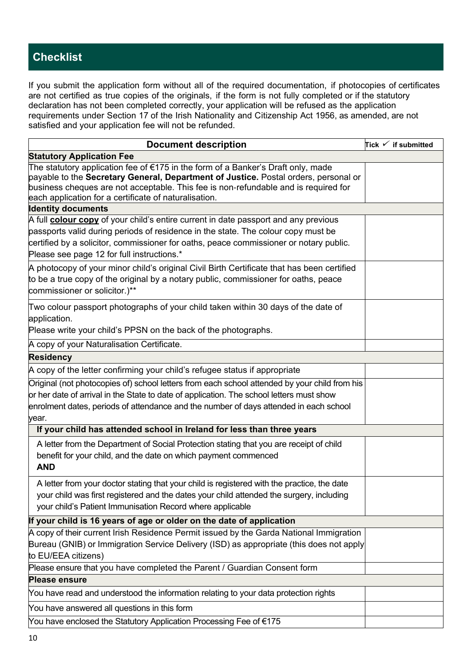# **Checklist**

If you submit the application form without all of the required documentation, if photocopies of certificates are not certified as true copies of the originals, if the form is not fully completed or if the statutory declaration has not been completed correctly, your application will be refused as the application requirements under Section 17 of the Irish Nationality and Citizenship Act 1956, as amended, are not satisfied and your application fee will not be refunded.

| <b>Document description</b>                                                                                                                                                                                                                                                                                             | Tick $\checkmark$ if submitted |
|-------------------------------------------------------------------------------------------------------------------------------------------------------------------------------------------------------------------------------------------------------------------------------------------------------------------------|--------------------------------|
| <b>Statutory Application Fee</b>                                                                                                                                                                                                                                                                                        |                                |
| The statutory application fee of €175 in the form of a Banker's Draft only, made<br>payable to the Secretary General, Department of Justice. Postal orders, personal or<br>business cheques are not acceptable. This fee is non-refundable and is required for<br>each application for a certificate of naturalisation. |                                |
| <b>Identity documents</b>                                                                                                                                                                                                                                                                                               |                                |
| A full colour copy of your child's entire current in date passport and any previous<br>passports valid during periods of residence in the state. The colour copy must be<br>certified by a solicitor, commissioner for oaths, peace commissioner or notary public.<br>Please see page 12 for full instructions.*        |                                |
| A photocopy of your minor child's original Civil Birth Certificate that has been certified<br>to be a true copy of the original by a notary public, commissioner for oaths, peace<br>commissioner or solicitor.)**                                                                                                      |                                |
| Two colour passport photographs of your child taken within 30 days of the date of<br>application.<br>Please write your child's PPSN on the back of the photographs.                                                                                                                                                     |                                |
| A copy of your Naturalisation Certificate.                                                                                                                                                                                                                                                                              |                                |
| <b>Residency</b>                                                                                                                                                                                                                                                                                                        |                                |
| A copy of the letter confirming your child's refugee status if appropriate                                                                                                                                                                                                                                              |                                |
| Original (not photocopies of) school letters from each school attended by your child from his<br>or her date of arrival in the State to date of application. The school letters must show<br>enrolment dates, periods of attendance and the number of days attended in each school<br>year.                             |                                |
| If your child has attended school in Ireland for less than three years                                                                                                                                                                                                                                                  |                                |
| A letter from the Department of Social Protection stating that you are receipt of child<br>benefit for your child, and the date on which payment commenced<br><b>AND</b>                                                                                                                                                |                                |
| A letter from your doctor stating that your child is registered with the practice, the date<br>your child was first registered and the dates your child attended the surgery, including<br>your child's Patient Immunisation Record where applicable                                                                    |                                |
| If your child is 16 years of age or older on the date of application                                                                                                                                                                                                                                                    |                                |
| A copy of their current Irish Residence Permit issued by the Garda National Immigration<br>Bureau (GNIB) or Immigration Service Delivery (ISD) as appropriate (this does not apply<br>to EU/EEA citizens)                                                                                                               |                                |
| Please ensure that you have completed the Parent / Guardian Consent form                                                                                                                                                                                                                                                |                                |
| <b>Please ensure</b>                                                                                                                                                                                                                                                                                                    |                                |
| You have read and understood the information relating to your data protection rights                                                                                                                                                                                                                                    |                                |
| You have answered all questions in this form                                                                                                                                                                                                                                                                            |                                |
| You have enclosed the Statutory Application Processing Fee of €175                                                                                                                                                                                                                                                      |                                |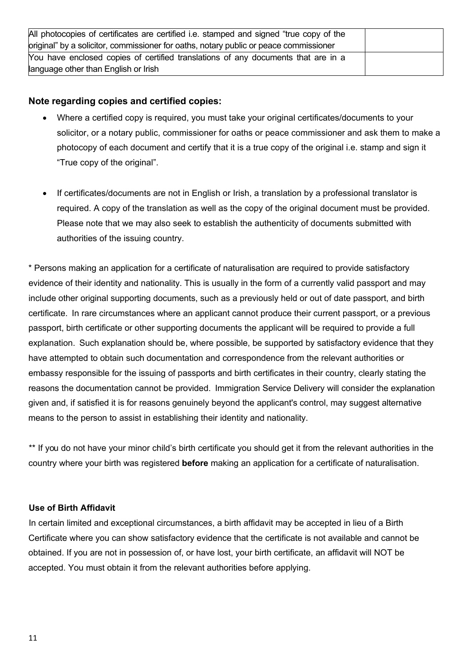| All photocopies of certificates are certified i.e. stamped and signed "true copy of the |  |
|-----------------------------------------------------------------------------------------|--|
| original" by a solicitor, commissioner for oaths, notary public or peace commissioner   |  |
| You have enclosed copies of certified translations of any documents that are in a       |  |
| language other than English or Irish                                                    |  |

#### **Note regarding copies and certified copies:**

- Where a certified copy is required, you must take your original certificates/documents to your solicitor, or a notary public, commissioner for oaths or peace commissioner and ask them to make a photocopy of each document and certify that it is a true copy of the original i.e. stamp and sign it "True copy of the original".
- If certificates/documents are not in English or Irish, a translation by a professional translator is required. A copy of the translation as well as the copy of the original document must be provided. Please note that we may also seek to establish the authenticity of documents submitted with authorities of the issuing country.

\* Persons making an application for a certificate of naturalisation are required to provide satisfactory evidence of their identity and nationality. This is usually in the form of a currently valid passport and may include other original supporting documents, such as a previously held or out of date passport, and birth certificate. In rare circumstances where an applicant cannot produce their current passport, or a previous passport, birth certificate or other supporting documents the applicant will be required to provide a full explanation. Such explanation should be, where possible, be supported by satisfactory evidence that they have attempted to obtain such documentation and correspondence from the relevant authorities or embassy responsible for the issuing of passports and birth certificates in their country, clearly stating the reasons the documentation cannot be provided. Immigration Service Delivery will consider the explanation given and, if satisfied it is for reasons genuinely beyond the applicant's control, may suggest alternative means to the person to assist in establishing their identity and nationality.

\*\* If you do not have your minor child's birth certificate you should get it from the relevant authorities in the country where your birth was registered **before** making an application for a certificate of naturalisation.

#### **Use of Birth Affidavit**

In certain limited and exceptional circumstances, a birth affidavit may be accepted in lieu of a Birth Certificate where you can show satisfactory evidence that the certificate is not available and cannot be obtained. If you are not in possession of, or have lost, your birth certificate, an affidavit will NOT be accepted. You must obtain it from the relevant authorities before applying.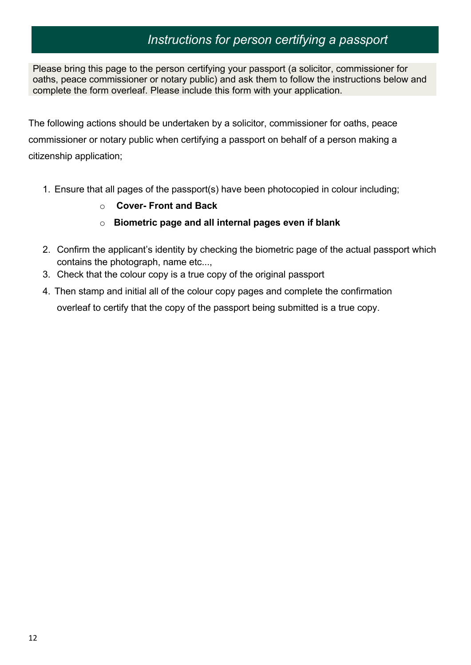# *Instructions for person certifying a passport*

Please bring this page to the person certifying your passport (a solicitor, commissioner for oaths, peace commissioner or notary public) and ask them to follow the instructions below and complete the form overleaf. Please include this form with your application.

The following actions should be undertaken by a solicitor, commissioner for oaths, peace commissioner or notary public when certifying a passport on behalf of a person making a citizenship application;

- 1. Ensure that all pages of the passport(s) have been photocopied in colour including;
	- o **Cover- Front and Back**
	- o **Biometric page and all internal pages even if blank**
- 2. Confirm the applicant's identity by checking the biometric page of the actual passport which contains the photograph, name etc...,
- 3. Check that the colour copy is a true copy of the original passport
- 4. Then stamp and initial all of the colour copy pages and complete the confirmation overleaf to certify that the copy of the passport being submitted is a true copy.